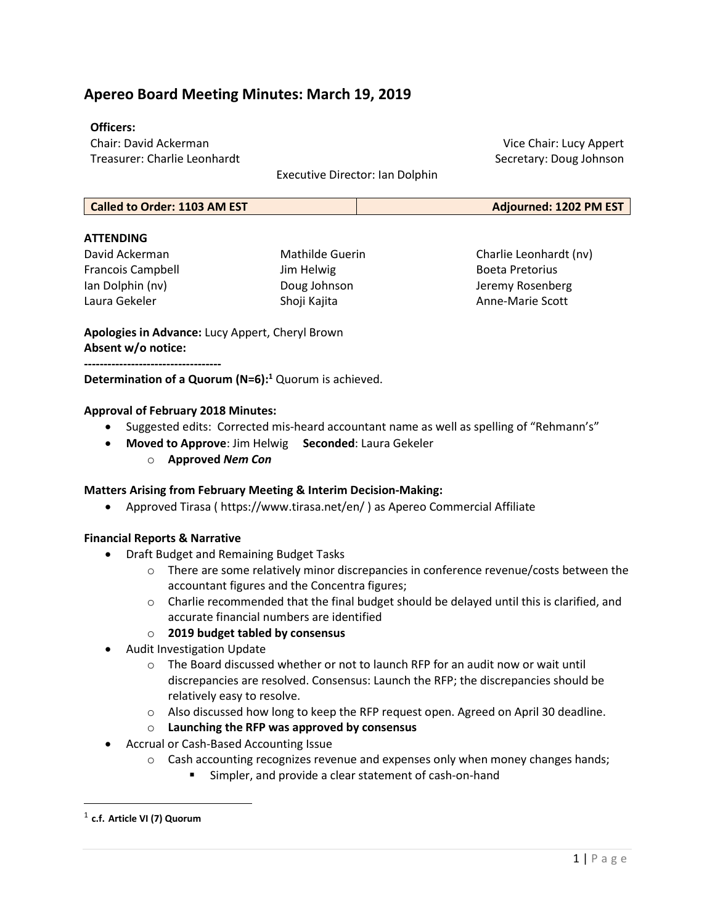## Apereo Board Meeting Minutes: March 19, 2019

## Officers:

Chair: David Ackerman Treasurer: Charlie Leonhardt

Executive Director: Ian Dolphin

Vice Chair: Lucy Appert Secretary: Doug Johnson

|  | Called to Order: 1103 AM EST | Adjourned: 1202 PM EST |
|--|------------------------------|------------------------|
|--|------------------------------|------------------------|

## **ATTFNDING**

David Ackerman Francois Campbell Ian Dolphin (nv) Laura Gekeler

Mathilde Guerin Jim Helwig Doug Johnson Shoji Kajita

Charlie Leonhardt (nv) Boeta Pretorius Jeremy Rosenberg Anne-Marie Scott

Apologies in Advance: Lucy Appert, Cheryl Brown Absent w/o notice: -----------------------------------

Determination of a Quorum  $(N=6):$ <sup>1</sup> Quorum is achieved.

## Approval of February 2018 Minutes:

- Suggested edits: Corrected mis-heard accountant name as well as spelling of "Rehmann's"
- Moved to Approve: Jim Helwig Seconded: Laura Gekeler
	- o Approved Nem Con

## Matters Arising from February Meeting & Interim Decision-Making:

Approved Tirasa ( https://www.tirasa.net/en/ ) as Apereo Commercial Affiliate

## Financial Reports & Narrative

- Draft Budget and Remaining Budget Tasks
	- $\circ$  There are some relatively minor discrepancies in conference revenue/costs between the accountant figures and the Concentra figures;
	- $\circ$  Charlie recommended that the final budget should be delayed until this is clarified, and accurate financial numbers are identified

## o 2019 budget tabled by consensus

- Audit Investigation Update
	- $\circ$  The Board discussed whether or not to launch RFP for an audit now or wait until discrepancies are resolved. Consensus: Launch the RFP; the discrepancies should be relatively easy to resolve.
	- o Also discussed how long to keep the RFP request open. Agreed on April 30 deadline.
	- $\circ$  Launching the RFP was approved by consensus
- Accrual or Cash-Based Accounting Issue
	- $\circ$  Cash accounting recognizes revenue and expenses only when money changes hands;
		- **Simpler, and provide a clear statement of cash-on-hand**

 $^{\rm 1}$  c.f. Article VI (7) Quorum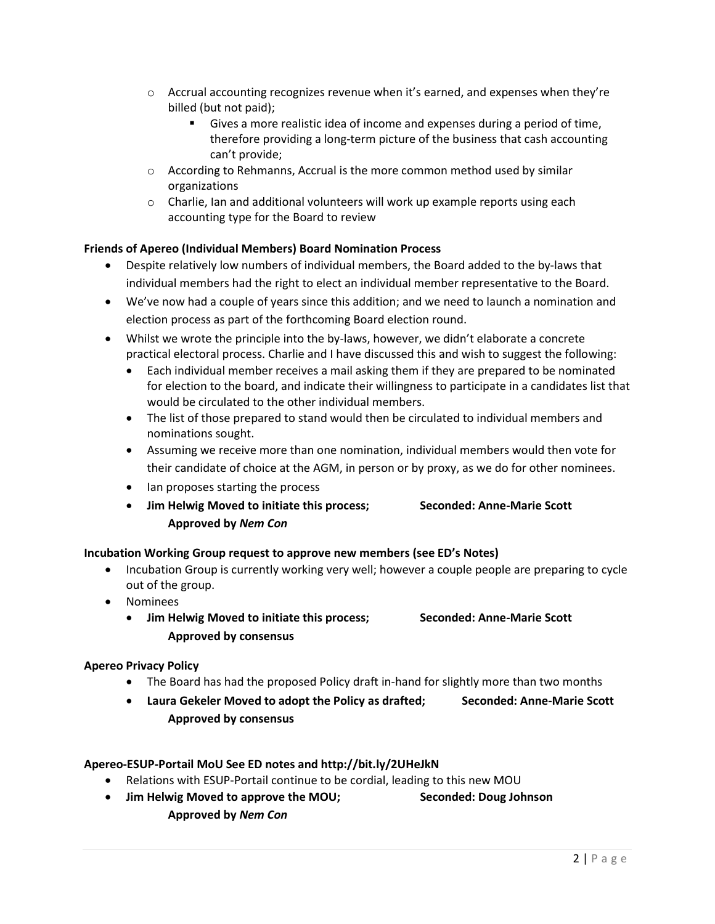- $\circ$  Accrual accounting recognizes revenue when it's earned, and expenses when they're billed (but not paid);
	- Gives a more realistic idea of income and expenses during a period of time, therefore providing a long-term picture of the business that cash accounting can't provide;
- $\circ$  According to Rehmanns, Accrual is the more common method used by similar organizations
- $\circ$  Charlie, Ian and additional volunteers will work up example reports using each accounting type for the Board to review

## Friends of Apereo (Individual Members) Board Nomination Process

- Despite relatively low numbers of individual members, the Board added to the by-laws that individual members had the right to elect an individual member representative to the Board.
- We've now had a couple of years since this addition; and we need to launch a nomination and election process as part of the forthcoming Board election round.
- Whilst we wrote the principle into the by-laws, however, we didn't elaborate a concrete practical electoral process. Charlie and I have discussed this and wish to suggest the following:
	- Each individual member receives a mail asking them if they are prepared to be nominated for election to the board, and indicate their willingness to participate in a candidates list that would be circulated to the other individual members.
	- The list of those prepared to stand would then be circulated to individual members and nominations sought.
	- Assuming we receive more than one nomination, individual members would then vote for their candidate of choice at the AGM, in person or by proxy, as we do for other nominees.
	- Ian proposes starting the process
	- Jim Helwig Moved to initiate this process; Seconded: Anne-Marie Scott Approved by Nem Con

## Incubation Working Group request to approve new members (see ED's Notes)

- Incubation Group is currently working very well; however a couple people are preparing to cycle out of the group.
- Nominees
	- Jim Helwig Moved to initiate this process; Seconded: Anne-Marie Scott Approved by consensus

## Apereo Privacy Policy

- The Board has had the proposed Policy draft in-hand for slightly more than two months
- Laura Gekeler Moved to adopt the Policy as drafted; Seconded: Anne-Marie Scott Approved by consensus

## Apereo-ESUP-Portail MoU See ED notes and http://bit.ly/2UHeJkN

- Relations with ESUP-Portail continue to be cordial, leading to this new MOU
- Jim Helwig Moved to approve the MOU; Seconded: Doug Johnson
	- Approved by Nem Con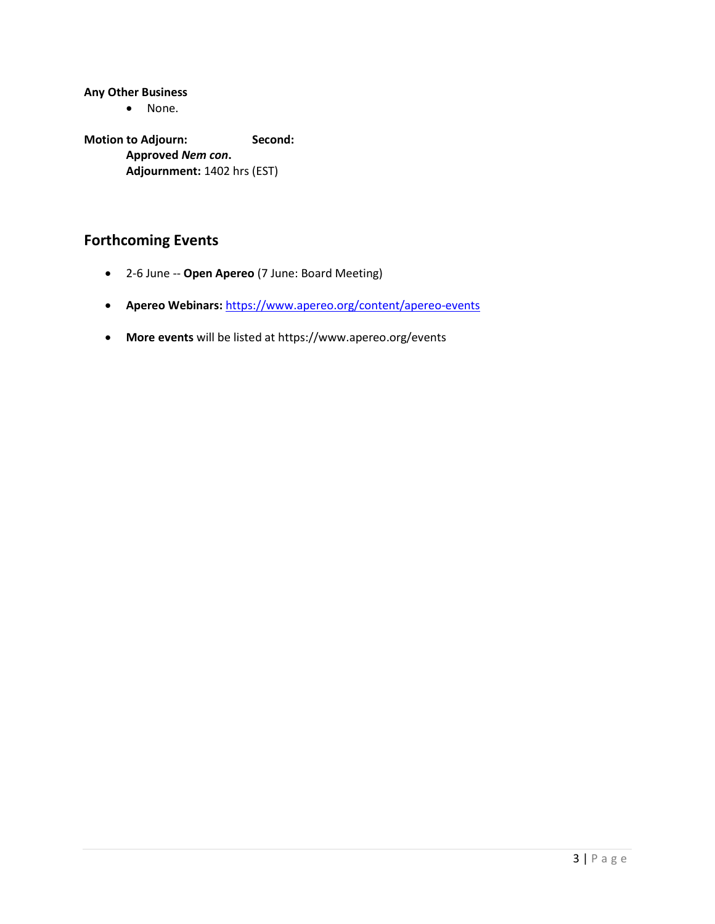Any Other Business

• None.

Motion to Adjourn: Second: Approved Nem con. Adjournment: 1402 hrs (EST)

# Forthcoming Events

- 2-6 June -- Open Apereo (7 June: Board Meeting)
- Apereo Webinars: https://www.apereo.org/content/apereo-events
- More events will be listed at https://www.apereo.org/events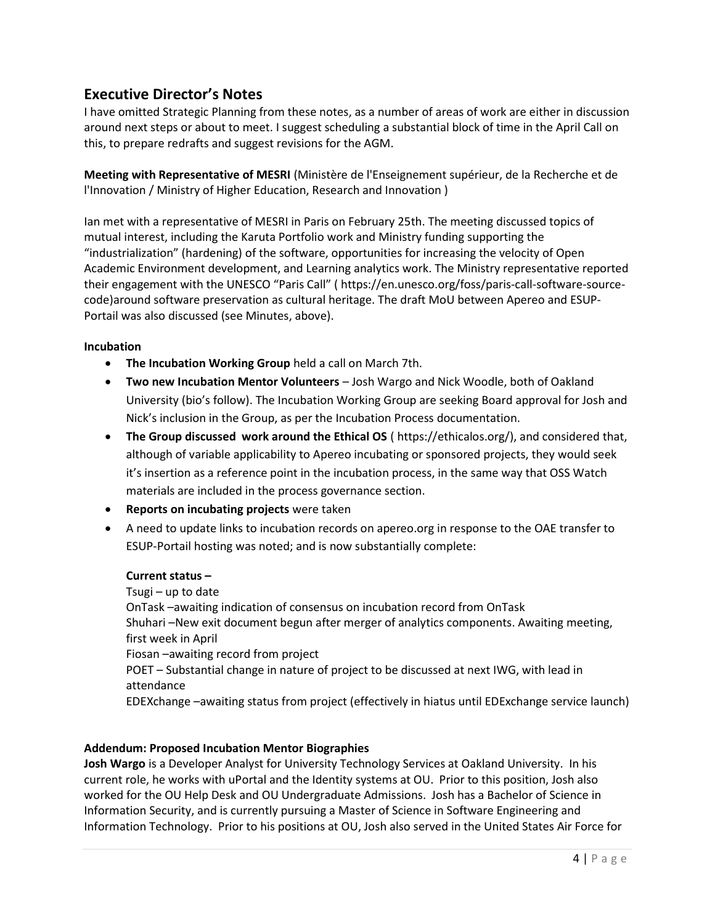## Executive Director's Notes

I have omitted Strategic Planning from these notes, as a number of areas of work are either in discussion around next steps or about to meet. I suggest scheduling a substantial block of time in the April Call on this, to prepare redrafts and suggest revisions for the AGM.

Meeting with Representative of MESRI (Ministère de l'Enseignement supérieur, de la Recherche et de l'Innovation / Ministry of Higher Education, Research and Innovation )

Ian met with a representative of MESRI in Paris on February 25th. The meeting discussed topics of mutual interest, including the Karuta Portfolio work and Ministry funding supporting the "industrialization" (hardening) of the software, opportunities for increasing the velocity of Open Academic Environment development, and Learning analytics work. The Ministry representative reported their engagement with the UNESCO "Paris Call" ( https://en.unesco.org/foss/paris-call-software-sourcecode)around software preservation as cultural heritage. The draft MoU between Apereo and ESUP-Portail was also discussed (see Minutes, above).

## Incubation

- The Incubation Working Group held a call on March 7th.
- Two new Incubation Mentor Volunteers Josh Wargo and Nick Woodle, both of Oakland University (bio's follow). The Incubation Working Group are seeking Board approval for Josh and Nick's inclusion in the Group, as per the Incubation Process documentation.
- The Group discussed work around the Ethical OS ( https://ethicalos.org/), and considered that, although of variable applicability to Apereo incubating or sponsored projects, they would seek it's insertion as a reference point in the incubation process, in the same way that OSS Watch materials are included in the process governance section.
- Reports on incubating projects were taken
- A need to update links to incubation records on apereo.org in response to the OAE transfer to ESUP-Portail hosting was noted; and is now substantially complete:

## Current status –

Tsugi – up to date OnTask –awaiting indication of consensus on incubation record from OnTask Shuhari –New exit document begun after merger of analytics components. Awaiting meeting, first week in April Fiosan –awaiting record from project POET – Substantial change in nature of project to be discussed at next IWG, with lead in attendance EDEXchange –awaiting status from project (effectively in hiatus until EDExchange service launch)

## Addendum: Proposed Incubation Mentor Biographies

Josh Wargo is a Developer Analyst for University Technology Services at Oakland University. In his current role, he works with uPortal and the Identity systems at OU. Prior to this position, Josh also worked for the OU Help Desk and OU Undergraduate Admissions. Josh has a Bachelor of Science in Information Security, and is currently pursuing a Master of Science in Software Engineering and Information Technology. Prior to his positions at OU, Josh also served in the United States Air Force for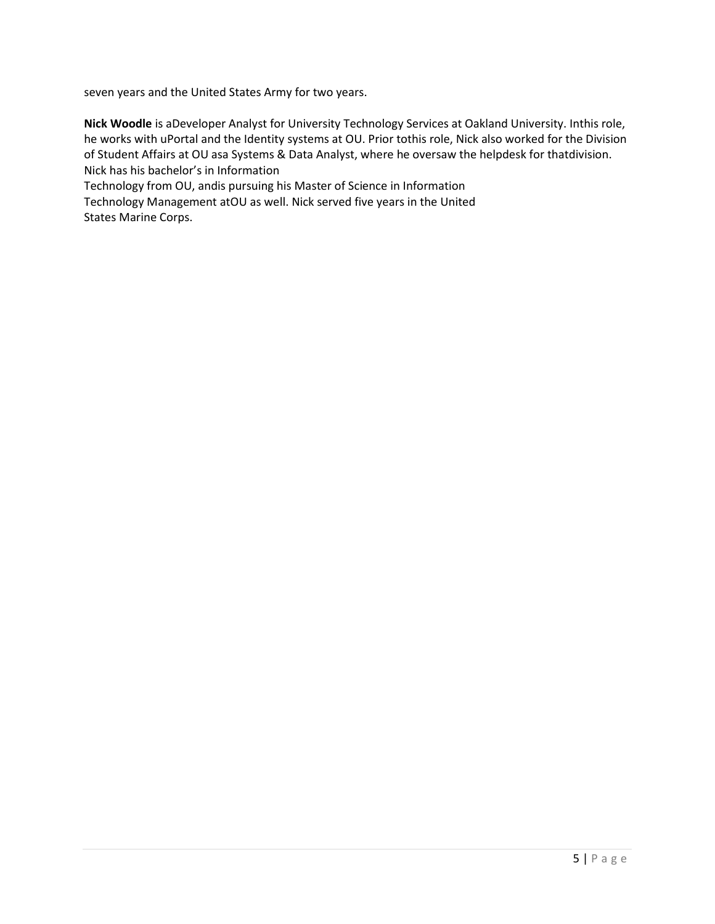seven years and the United States Army for two years.

Nick Woodle is aDeveloper Analyst for University Technology Services at Oakland University. Inthis role, he works with uPortal and the Identity systems at OU. Prior tothis role, Nick also worked for the Division of Student Affairs at OU asa Systems & Data Analyst, where he oversaw the helpdesk for thatdivision. Nick has his bachelor's in Information

Technology from OU, andis pursuing his Master of Science in Information

Technology Management atOU as well. Nick served five years in the United States Marine Corps.